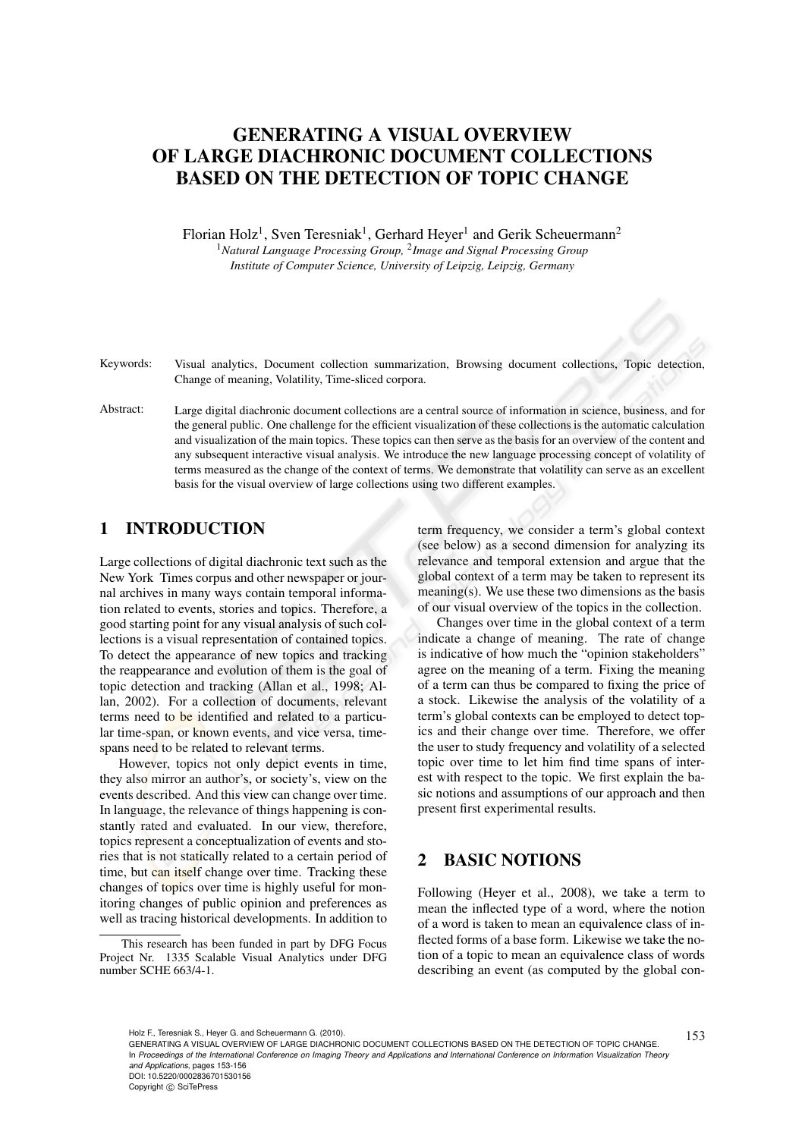# GENERATING A VISUAL OVERVIEW OF LARGE DIACHRONIC DOCUMENT COLLECTIONS BASED ON THE DETECTION OF TOPIC CHANGE

Florian Holz<sup>1</sup>, Sven Teresniak<sup>1</sup>, Gerhard Heyer<sup>1</sup> and Gerik Scheuermann<sup>2</sup> <sup>1</sup>*Natural Language Processing Group,* <sup>2</sup> *Image and Signal Processing Group Institute of Computer Science, University of Leipzig, Leipzig, Germany*

Keywords: Visual analytics, Document collection summarization, Browsing document collections, Topic detection, Change of meaning, Volatility, Time-sliced corpora.

Abstract: Large digital diachronic document collections are a central source of information in science, business, and for the general public. One challenge for the efficient visualization of these collections is the automatic calculation and visualization of the main topics. These topics can then serve as the basis for an overview of the content and any subsequent interactive visual analysis. We introduce the new language processing concept of volatility of terms measured as the change of the context of terms. We demonstrate that volatility can serve as an excellent basis for the visual overview of large collections using two different examples.

## 1 INTRODUCTION

Large collections of digital diachronic text such as the New York Times corpus and other newspaper or journal archives in many ways contain temporal information related to events, stories and topics. Therefore, a good starting point for any visual analysis of such collections is a visual representation of contained topics. To detect the appearance of new topics and tracking the reappearance and evolution of them is the goal of topic detection and tracking (Allan et al., 1998; Allan, 2002). For a collection of documents, relevant terms need to be identified and related to a particular time-span, or known events, and vice versa, timespans need to be related to relevant terms.

However, topics not only depict events in time, they also mirror an author's, or society's, view on the events described. And this view can change over time. In language, the relevance of things happening is constantly rated and evaluated. In our view, therefore, topics represent a conceptualization of events and stories that is not statically related to a certain period of time, but can itself change over time. Tracking these changes of topics over time is highly useful for monitoring changes of public opinion and preferences as well as tracing historical developments. In addition to

term frequency, we consider a term's global context (see below) as a second dimension for analyzing its relevance and temporal extension and argue that the global context of a term may be taken to represent its meaning(s). We use these two dimensions as the basis of our visual overview of the topics in the collection.

Changes over time in the global context of a term indicate a change of meaning. The rate of change is indicative of how much the "opinion stakeholders" agree on the meaning of a term. Fixing the meaning of a term can thus be compared to fixing the price of a stock. Likewise the analysis of the volatility of a term's global contexts can be employed to detect topics and their change over time. Therefore, we offer the user to study frequency and volatility of a selected topic over time to let him find time spans of interest with respect to the topic. We first explain the basic notions and assumptions of our approach and then present first experimental results.

## 2 BASIC NOTIONS

Following (Heyer et al., 2008), we take a term to mean the inflected type of a word, where the notion of a word is taken to mean an equivalence class of inflected forms of a base form. Likewise we take the notion of a topic to mean an equivalence class of words describing an event (as computed by the global con-

This research has been funded in part by DFG Focus Project Nr. 1335 Scalable Visual Analytics under DFG number SCHE 663/4-1.

Holz F., Teresniak S., Heyer G. and Scheuermann G. (2010).<br>GENERATING A VISUAL OVERVIEW OF LARGE DIACHRONIC DOCUMENT COLLECTIONS BASED ON THE DETECTION OF TOPIC CHANGE.  $153\,$ In *Proceedings of the International Conference on Imaging Theory and Applications and International Conference on Information Visualization Theory and Applications*, pages 153-156 DOI: 10.5220/0002836701530156

Copyright © SciTePress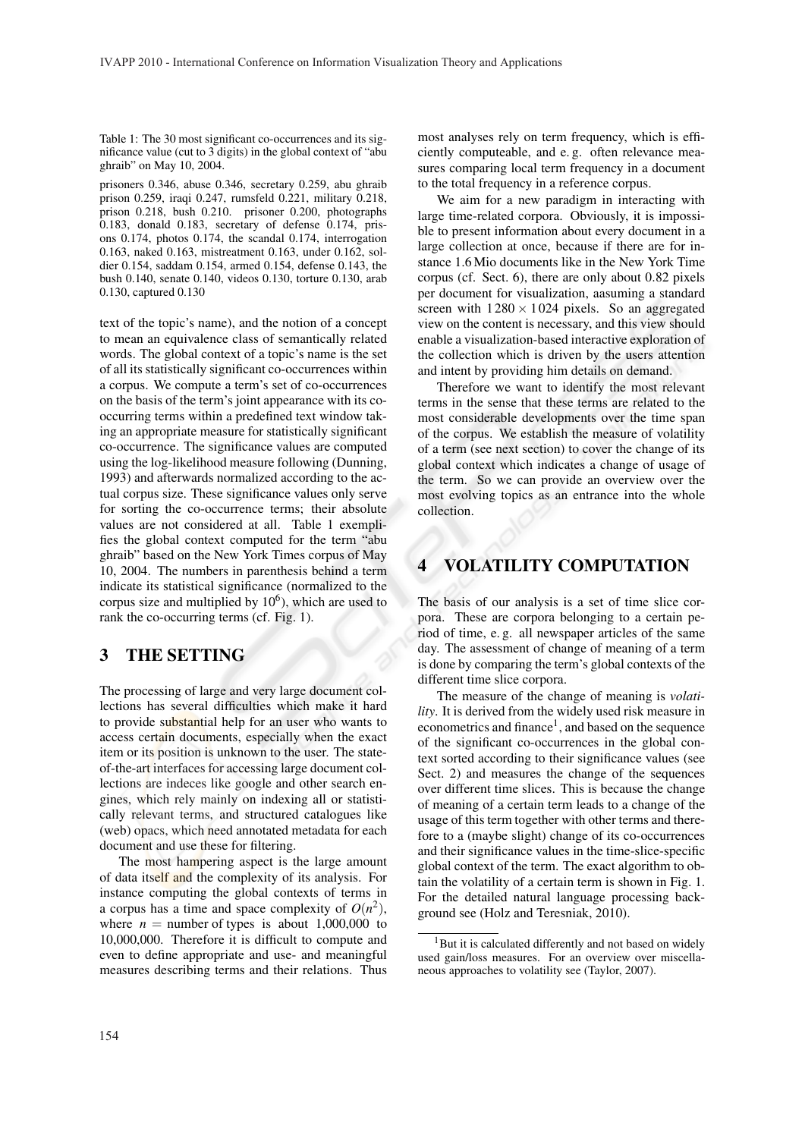Table 1: The 30 most significant co-occurrences and its significance value (cut to 3 digits) in the global context of "abu ghraib" on May 10, 2004.

prisoners 0.346, abuse 0.346, secretary 0.259, abu ghraib prison 0.259, iraqi 0.247, rumsfeld 0.221, military 0.218, prison 0.218, bush 0.210. prisoner 0.200, photographs 0.183, donald 0.183, secretary of defense 0.174, prisons 0.174, photos 0.174, the scandal 0.174, interrogation 0.163, naked 0.163, mistreatment 0.163, under 0.162, soldier 0.154, saddam 0.154, armed 0.154, defense 0.143, the bush 0.140, senate 0.140, videos 0.130, torture 0.130, arab 0.130, captured 0.130

text of the topic's name), and the notion of a concept to mean an equivalence class of semantically related words. The global context of a topic's name is the set of all its statistically significant co-occurrences within a corpus. We compute a term's set of co-occurrences on the basis of the term's joint appearance with its cooccurring terms within a predefined text window taking an appropriate measure for statistically significant co-occurrence. The significance values are computed using the log-likelihood measure following (Dunning, 1993) and afterwards normalized according to the actual corpus size. These significance values only serve for sorting the co-occurrence terms; their absolute values are not considered at all. Table 1 exemplifies the global context computed for the term "abu ghraib" based on the New York Times corpus of May 10, 2004. The numbers in parenthesis behind a term indicate its statistical significance (normalized to the corpus size and multiplied by  $10<sup>6</sup>$ ), which are used to rank the co-occurring terms (cf. Fig. 1).

### 3 THE SETTING

The processing of large and very large document collections has several difficulties which make it hard to provide substantial help for an user who wants to access certain documents, especially when the exact item or its position is unknown to the user. The stateof-the-art interfaces for accessing large document collections are indeces like google and other search engines, which rely mainly on indexing all or statistically relevant terms, and structured catalogues like (web) opacs, which need annotated metadata for each document and use these for filtering.

The most hampering aspect is the large amount of data itself and the complexity of its analysis. For instance computing the global contexts of terms in a corpus has a time and space complexity of  $O(n^2)$ , where  $n =$  number of types is about 1,000,000 to 10,000,000. Therefore it is difficult to compute and even to define appropriate and use- and meaningful measures describing terms and their relations. Thus

most analyses rely on term frequency, which is efficiently computeable, and e. g. often relevance measures comparing local term frequency in a document to the total frequency in a reference corpus.

We aim for a new paradigm in interacting with large time-related corpora. Obviously, it is impossible to present information about every document in a large collection at once, because if there are for instance 1.6 Mio documents like in the New York Time corpus (cf. Sect. 6), there are only about 0.82 pixels per document for visualization, aasuming a standard screen with  $1280 \times 1024$  pixels. So an aggregated view on the content is necessary, and this view should enable a visualization-based interactive exploration of the collection which is driven by the users attention and intent by providing him details on demand.

Therefore we want to identify the most relevant terms in the sense that these terms are related to the most considerable developments over the time span of the corpus. We establish the measure of volatility of a term (see next section) to cover the change of its global context which indicates a change of usage of the term. So we can provide an overview over the most evolving topics as an entrance into the whole collection.

## 4 VOLATILITY COMPUTATION

The basis of our analysis is a set of time slice corpora. These are corpora belonging to a certain period of time, e. g. all newspaper articles of the same day. The assessment of change of meaning of a term is done by comparing the term's global contexts of the different time slice corpora.

The measure of the change of meaning is *volatility*. It is derived from the widely used risk measure in econometrics and finance<sup>1</sup>, and based on the sequence of the significant co-occurrences in the global context sorted according to their significance values (see Sect. 2) and measures the change of the sequences over different time slices. This is because the change of meaning of a certain term leads to a change of the usage of this term together with other terms and therefore to a (maybe slight) change of its co-occurrences and their significance values in the time-slice-specific global context of the term. The exact algorithm to obtain the volatility of a certain term is shown in Fig. 1. For the detailed natural language processing background see (Holz and Teresniak, 2010).

<sup>&</sup>lt;sup>1</sup>But it is calculated differently and not based on widely used gain/loss measures. For an overview over miscellaneous approaches to volatility see (Taylor, 2007).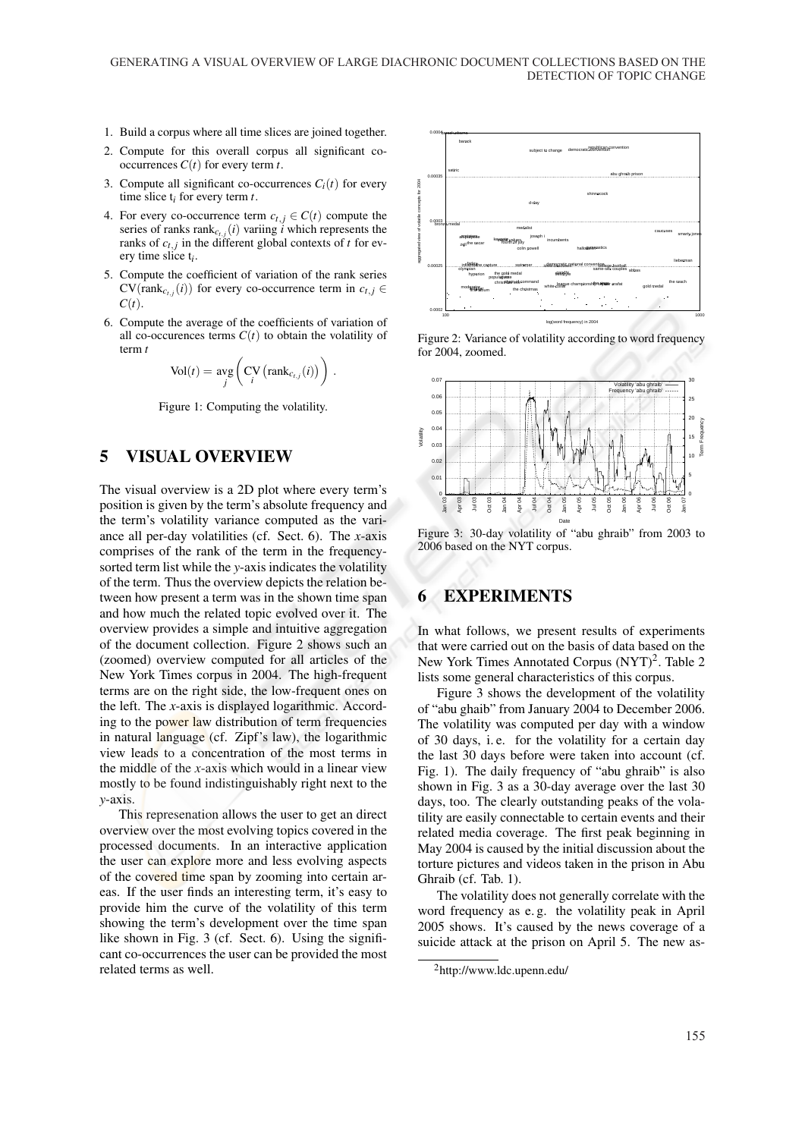- 1. Build a corpus where all time slices are joined together.
- 2. Compute for this overall corpus all significant cooccurrences  $C(t)$  for every term *t*.
- 3. Compute all significant co-occurrences  $C_i(t)$  for every time slice t*i* for every term *t*.
- 4. For every co-occurrence term  $c_{t,j} \in C(t)$  compute the series of ranks  $rank_{c_{t,j}}(i)$  variing *i* which represents the ranks of  $c_{t,j}$  in the different global contexts of  $t$  for every time slice t*i* .
- 5. Compute the coefficient of variation of the rank series  $CV(\text{rank}_{c_{t,j}}(i))$  for every co-occurrence term in  $c_{t,j} \in$  $C(t)$ .
- 6. Compute the average of the coefficients of variation of all co-occurences terms  $C(t)$  to obtain the volatility of term *t*

$$
Vol(t) = \underset{j}{\text{avg}} \left( \underset{i}{CV} \left( \text{rank}_{c_{t,j}}(i) \right) \right) .
$$

Figure 1: Computing the volatility.

## 5 VISUAL OVERVIEW

The visual overview is a 2D plot where every term's position is given by the term's absolute frequency and the term's volatility variance computed as the variance all per-day volatilities (cf. Sect. 6). The *x*-axis comprises of the rank of the term in the frequencysorted term list while the *y*-axis indicates the volatility of the term. Thus the overview depicts the relation between how present a term was in the shown time span and how much the related topic evolved over it. The overview provides a simple and intuitive aggregation of the document collection. Figure 2 shows such an (zoomed) overview computed for all articles of the New York Times corpus in 2004. The high-frequent terms are on the right side, the low-frequent ones on the left. The *x*-axis is displayed logarithmic. According to the power law distribution of term frequencies in natural language (cf. Zipf's law), the logarithmic view leads to a concentration of the most terms in the middle of the *x*-axis which would in a linear view mostly to be found indistinguishably right next to the *y*-axis.

This represenation allows the user to get an direct overview over the most evolving topics covered in the processed documents. In an interactive application the user can explore more and less evolving aspects of the covered time span by zooming into certain areas. If the user finds an interesting term, it's easy to provide him the curve of the volatility of this term showing the term's development over the time span like shown in Fig. 3 (cf. Sect. 6). Using the significant co-occurrences the user can be provided the most related terms as well.







Figure 3: 30-day volatility of "abu ghraib" from 2003 to 2006 based on the NYT corpus.

#### 6 EXPERIMENTS

In what follows, we present results of experiments that were carried out on the basis of data based on the New York Times Annotated Corpus (NYT)<sup>2</sup>. Table 2 lists some general characteristics of this corpus.

Figure 3 shows the development of the volatility of "abu ghaib" from January 2004 to December 2006. The volatility was computed per day with a window of 30 days, i. e. for the volatility for a certain day the last 30 days before were taken into account (cf. Fig. 1). The daily frequency of "abu ghraib" is also shown in Fig. 3 as a 30-day average over the last 30 days, too. The clearly outstanding peaks of the volatility are easily connectable to certain events and their related media coverage. The first peak beginning in May 2004 is caused by the initial discussion about the torture pictures and videos taken in the prison in Abu Ghraib (cf. Tab. 1).

The volatility does not generally correlate with the word frequency as e. g. the volatility peak in April 2005 shows. It's caused by the news coverage of a suicide attack at the prison on April 5. The new as-

<sup>2</sup>http://www.ldc.upenn.edu/